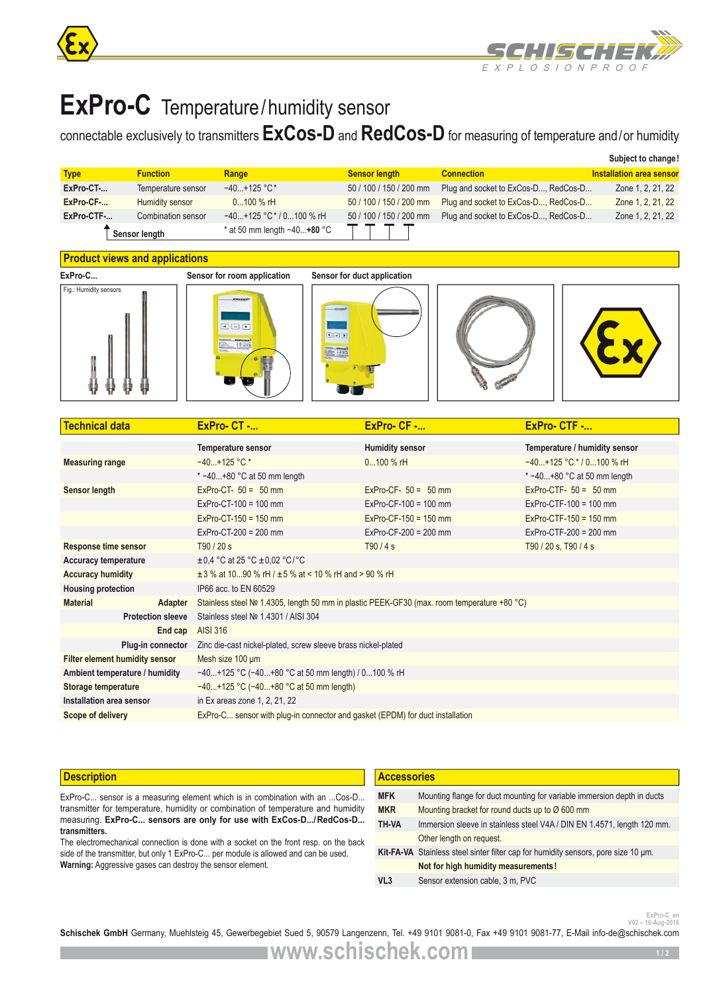



# **ExPro-C** Temperature/humidity sensor

# connectable exclusively to transmitters **ExCos-D** and **RedCos-D** for measuring of temperature and/or humidity

|             |                    |                               |                         |                                      | Subject to change!       |
|-------------|--------------------|-------------------------------|-------------------------|--------------------------------------|--------------------------|
| <b>Type</b> | <b>Function</b>    | Range                         | <b>Sensor length</b>    | <b>Connection</b>                    | Installation area sensor |
| ExPro-CT-   | Temperature sensor | $-40+125$ °C*                 | 50 / 100 / 150 / 200 mm | Plug and socket to ExCos-D, RedCos-D | Zone 1, 2, 21, 22        |
| ExPro-CF-   | Humidity sensor    | $0100 \%$ rH                  | 50 / 100 / 150 / 200 mm | Plug and socket to ExCos-D, RedCos-D | Zone 1, 2, 21, 22        |
| ExPro-CTF-  | Combination sensor | $-40+125$ °C $*$ / 0100 % rH  | 50 / 100 / 150 / 200 mm | Plug and socket to ExCos-D, RedCos-D | Zone 1, 2, 21, 22        |
|             | Sensor length      | * at 50 mm length $-40+80$ °C |                         |                                      |                          |

# **Product views and applications**











| <b>Technical data</b>                 | $ExPro-CT$ -                                                                  | $ExPro-CF$ -                                                                               | ExPro-CTF -                   |  |  |
|---------------------------------------|-------------------------------------------------------------------------------|--------------------------------------------------------------------------------------------|-------------------------------|--|--|
|                                       | <b>Temperature sensor</b>                                                     | <b>Humidity sensor</b>                                                                     | Temperature / humidity sensor |  |  |
| <b>Measuring range</b>                | $-40+125$ °C *                                                                | $0100 \%$ rH                                                                               | $-40+125$ °C $*$ / 0100 % rH  |  |  |
|                                       | $* -40+80$ °C at 50 mm length                                                 |                                                                                            | * $-40+80$ °C at 50 mm length |  |  |
| <b>Sensor length</b>                  | $ExPro-CT- 50 = 50$ mm                                                        | $ExPro-CF- 50 = 50$ mm                                                                     | ExPro-CTF- $50 = 50$ mm       |  |  |
|                                       | $ExPro-CT-100 = 100$ mm                                                       | $ExPro-CF-100 = 100$ mm                                                                    | $ExPro-CTF-100 = 100$ mm      |  |  |
|                                       | $ExPro-CT-150 = 150$ mm                                                       | $ExPro-CF-150 = 150$ mm                                                                    | $ExPro-CTF-150 = 150$ mm      |  |  |
|                                       | $ExPro-CT-200 = 200$ mm                                                       | $ExPro-CF-200 = 200$ mm                                                                    | $ExPro-CTF-200 = 200$ mm      |  |  |
| <b>Response time sensor</b>           | T90 / 20 s                                                                    | T90/4s                                                                                     | T90 / 20 s, T90 / 4 s         |  |  |
| <b>Accuracy temperature</b>           | $\pm$ 0.4 °C at 25 °C $\pm$ 0.02 °C/°C                                        |                                                                                            |                               |  |  |
| <b>Accuracy humidity</b>              | $\pm$ 3 % at 1090 % rH / $\pm$ 5 % at < 10 % rH and > 90 % rH                 |                                                                                            |                               |  |  |
| <b>Housing protection</b>             | IP66 acc. to EN 60529                                                         |                                                                                            |                               |  |  |
| <b>Material</b><br>Adapter            |                                                                               | Stainless steel № 1.4305, length 50 mm in plastic PEEK-GF30 (max. room temperature +80 °C) |                               |  |  |
| <b>Protection sleeve</b>              | Stainless steel Nº 1.4301 / AISI 304                                          |                                                                                            |                               |  |  |
| End cap                               | <b>AISI 316</b>                                                               |                                                                                            |                               |  |  |
| Plug-in connector                     | Zinc die-cast nickel-plated, screw sleeve brass nickel-plated                 |                                                                                            |                               |  |  |
| <b>Filter element humidity sensor</b> | Mesh size 100 um                                                              |                                                                                            |                               |  |  |
| Ambient temperature / humidity        | $-40+125$ °C (-40+80 °C at 50 mm length) / 0100 % rH                          |                                                                                            |                               |  |  |
| Storage temperature                   | $-40+125$ °C (-40+80 °C at 50 mm length)                                      |                                                                                            |                               |  |  |
| Installation area sensor              | in Ex areas zone 1, 2, 21, 22                                                 |                                                                                            |                               |  |  |
| Scope of delivery                     | ExPro-C sensor with plug-in connector and gasket (EPDM) for duct installation |                                                                                            |                               |  |  |

### **Description**

ExPro-C... sensor is a measuring element which is in combination with an ...Cos-D... transmitter for temperature, humidity or combination of temperature and humidity measuring. **ExPro-C... sensors are only for use with ExCos-D.../RedCos-D... transmitters.**

The electromechanical connection is done with a socket on the front resp. on the back side of the transmitter, but only 1 ExPro-C... per module is allowed and can be used. **Warning:** Aggressive gases can destroy the sensor element.

| <b>Accessories</b>                                                                 |  |  |  |
|------------------------------------------------------------------------------------|--|--|--|
| Mounting flange for duct mounting for variable immersion depth in ducts            |  |  |  |
| Mounting bracket for round ducts up to Ø 600 mm                                    |  |  |  |
| Immersion sleeve in stainless steel V4A / DIN EN 1.4571, length 120 mm.            |  |  |  |
| Other length on request.                                                           |  |  |  |
| Kit-FA-VA Stainless steel sinter filter cap for humidity sensors, pore size 10 um. |  |  |  |
| Not for high humidity measurements!                                                |  |  |  |
| Sensor extension cable, 3 m, PVC                                                   |  |  |  |
|                                                                                    |  |  |  |

**V02 – 16-Aug-2016**

Schischek GmbH Germany, Muehlsteig 45, Gewerbegebiet Sued 5, 90579 Langenzenn, Tel. +49 9101 9081-0, Fax +49 9101 9081-77, E-Mail info-de@schischek.com

**www.schischek.com**